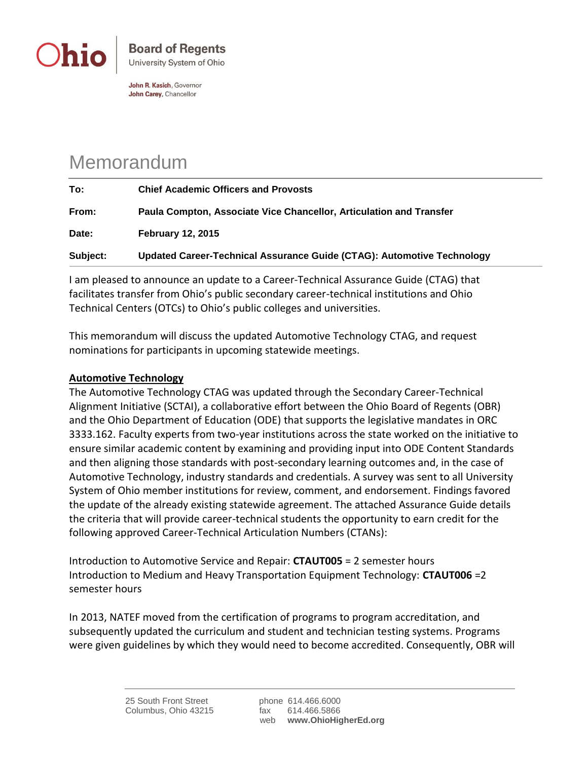

John R. Kasich, Governor John Carey, Chancellor

## Memorandum

| To:      | <b>Chief Academic Officers and Provosts</b>                            |
|----------|------------------------------------------------------------------------|
| From:    | Paula Compton, Associate Vice Chancellor, Articulation and Transfer    |
| Date:    | <b>February 12, 2015</b>                                               |
| Subject: | Updated Career-Technical Assurance Guide (CTAG): Automotive Technology |

I am pleased to announce an update to a Career-Technical Assurance Guide (CTAG) that facilitates transfer from Ohio's public secondary career-technical institutions and Ohio Technical Centers (OTCs) to Ohio's public colleges and universities.

This memorandum will discuss the updated Automotive Technology CTAG, and request nominations for participants in upcoming statewide meetings.

## **Automotive Technology**

The Automotive Technology CTAG was updated through the Secondary Career-Technical Alignment Initiative (SCTAI), a collaborative effort between the Ohio Board of Regents (OBR) and the Ohio Department of Education (ODE) that supports the legislative mandates in ORC 3333.162. Faculty experts from two-year institutions across the state worked on the initiative to ensure similar academic content by examining and providing input into ODE Content Standards and then aligning those standards with post-secondary learning outcomes and, in the case of Automotive Technology, industry standards and credentials. A survey was sent to all University System of Ohio member institutions for review, comment, and endorsement. Findings favored the update of the already existing statewide agreement. The attached Assurance Guide details the criteria that will provide career-technical students the opportunity to earn credit for the following approved Career-Technical Articulation Numbers (CTANs):

Introduction to Automotive Service and Repair: **CTAUT005** = 2 semester hours Introduction to Medium and Heavy Transportation Equipment Technology: **CTAUT006** =2 semester hours

In 2013, NATEF moved from the certification of programs to program accreditation, and subsequently updated the curriculum and student and technician testing systems. Programs were given guidelines by which they would need to become accredited. Consequently, OBR will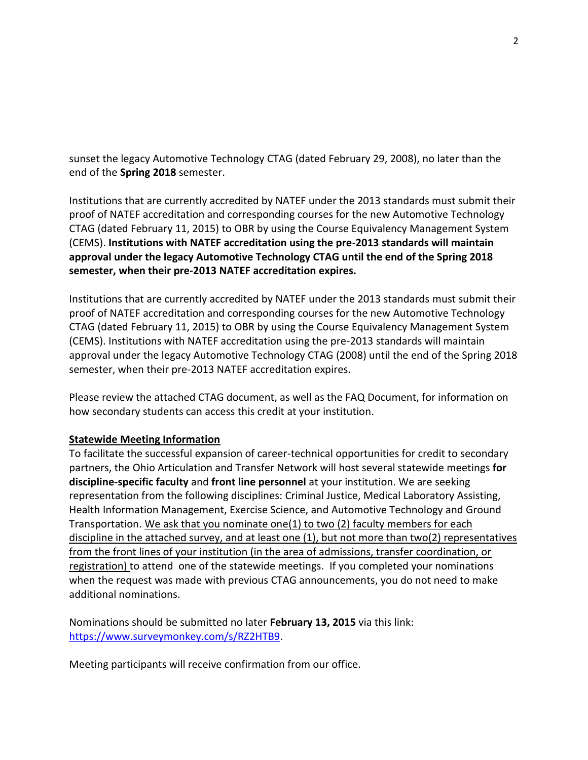sunset the legacy Automotive Technology CTAG (dated February 29, 2008), no later than the end of the **Spring 2018** semester.

Institutions that are currently accredited by NATEF under the 2013 standards must submit their proof of NATEF accreditation and corresponding courses for the new Automotive Technology CTAG (dated February 11, 2015) to OBR by using the Course Equivalency Management System (CEMS). **Institutions with NATEF accreditation using the pre-2013 standards will maintain approval under the legacy Automotive Technology CTAG until the end of the Spring 2018 semester, when their pre-2013 NATEF accreditation expires.**

Institutions that are currently accredited by NATEF under the 2013 standards must submit their proof of NATEF accreditation and corresponding courses for the new Automotive Technology CTAG (dated February 11, 2015) to OBR by using the Course Equivalency Management System (CEMS). Institutions with NATEF accreditation using the pre-2013 standards will maintain approval under the legacy Automotive Technology CTAG (2008) until the end of the Spring 2018 semester, when their pre-2013 NATEF accreditation expires.

Please review the attached CTAG document, as well as the FAQ Document, for information on how secondary students can access this credit at your institution.

## **Statewide Meeting Information**

To facilitate the successful expansion of career-technical opportunities for credit to secondary partners, the Ohio Articulation and Transfer Network will host several statewide meetings **for discipline-specific faculty** and **front line personnel** at your institution. We are seeking representation from the following disciplines: Criminal Justice, Medical Laboratory Assisting, Health Information Management, Exercise Science, and Automotive Technology and Ground Transportation. We ask that you nominate one(1) to two (2) faculty members for each discipline in the attached survey, and at least one (1), but not more than two(2) representatives from the front lines of your institution (in the area of admissions, transfer coordination, or registration) to attend one of the statewide meetings. If you completed your nominations when the request was made with previous CTAG announcements, you do not need to make additional nominations.

Nominations should be submitted no later **February 13, 2015** via this link: [https://www.surveymonkey.com/s/RZ2HTB9.](https://www.surveymonkey.com/s/RZ2HTB9)

Meeting participants will receive confirmation from our office.